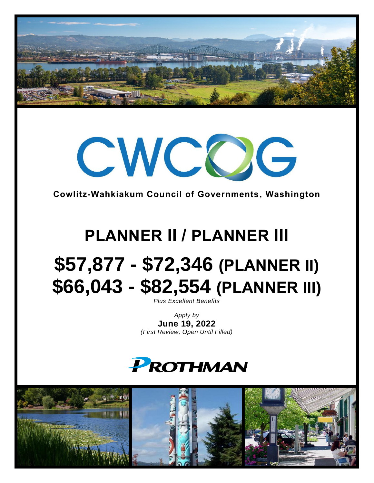



**Cowlitz-Wahkiakum Council of Governments, Washington**

# **PLANNER II / PLANNER III \$57,877 - \$72,346 (PLANNER II) \$66,043 - \$82,554 (PLANNER III)**

*Plus Excellent Benefits*

*Apply by* **June 19, 2022** *(First Review, Open Until Filled)*



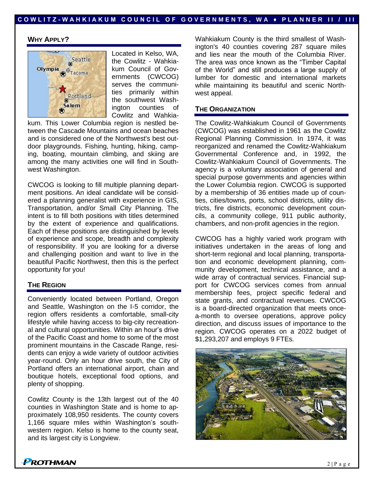### **WHY APPLY?**



Located in Kelso, WA, the Cowlitz - Wahkiakum Council of Governments (CWCOG) serves the communities primarily within the southwest Washington counties of Cowlitz and Wahkia-

kum. This Lower Columbia region is nestled between the Cascade Mountains and ocean beaches and is considered one of the Northwest's best outdoor playgrounds. Fishing, hunting, hiking, camping, boating, mountain climbing, and skiing are among the many activities one will find in Southwest Washington.

CWCOG is looking to fill multiple planning department positions. An ideal candidate will be considered a planning generalist with experience in GIS, Transportation, and/or Small City Planning. The intent is to fill both positions with titles determined by the extent of experience and qualifications. Each of these positions are distinguished by levels of experience and scope, breadth and complexity of responsibility. If you are looking for a diverse and challenging position and want to live in the beautiful Pacific Northwest, then this is the perfect opportunity for you!

#### **THE REGION**

Conveniently located between Portland, Oregon and Seattle, Washington on the I-5 corridor, the region offers residents a comfortable, small-city lifestyle while having access to big-city recreational and cultural opportunities. Within an hour's drive of the Pacific Coast and home to some of the most prominent mountains in the Cascade Range, residents can enjoy a wide variety of outdoor activities year-round. Only an hour drive south, the City of Portland offers an international airport, chain and boutique hotels, exceptional food options, and plenty of shopping.

Cowlitz County is the 13th largest out of the 40 counties in Washington State and is home to approximately 108,950 residents. The county covers 1,166 square miles within Washington's southwestern region. Kelso is home to the county seat, and its largest city is Longview.

Wahkiakum County is the third smallest of Washington's 40 counties covering 287 square miles and lies near the mouth of the Columbia River. The area was once known as the "Timber Capital of the World" and still produces a large supply of lumber for domestic and international markets while maintaining its beautiful and scenic Northwest appeal.

#### **THE ORGANIZATION**

The Cowlitz-Wahkiakum Council of Governments (CWCOG) was established in 1961 as the Cowlitz Regional Planning Commission. In 1974, it was reorganized and renamed the Cowlitz-Wahkiakum Governmental Conference and, in 1992, the Cowlitz-Wahkiakum Council of Governments. The agency is a voluntary association of general and special purpose governments and agencies within the Lower Columbia region. CWCOG is supported by a membership of 36 entities made up of counties, cities/towns, ports, school districts, utility districts, fire districts, economic development councils, a community college, 911 public authority, chambers, and non-profit agencies in the region.

CWCOG has a highly varied work program with initiatives undertaken in the areas of long and short-term regional and local planning, transportation and economic development planning, community development, technical assistance, and a wide array of contractual services. Financial support for CWCOG services comes from annual membership fees, project specific federal and state grants, and contractual revenues. CWCOG is a board-directed organization that meets oncea-month to oversee operations, approve policy direction, and discuss issues of importance to the region. CWCOG operates on a 2022 budget of \$1,293,207 and employs 9 FTEs.



**PROTHMAN**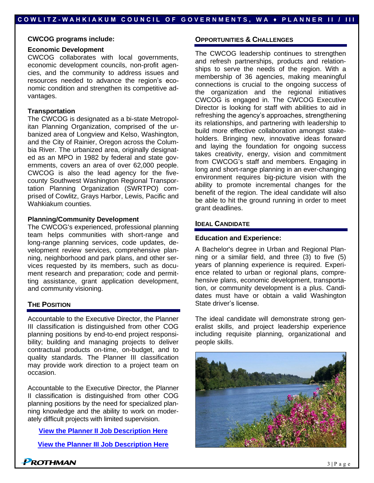**CWCOG programs include:**

#### **Economic Development**

CWCOG collaborates with local governments, economic development councils, non-profit agencies, and the community to address issues and resources needed to advance the region's economic condition and strengthen its competitive advantages.

#### **Transportation**

The CWCOG is designated as a bi-state Metropolitan Planning Organization, comprised of the urbanized area of Longview and Kelso, Washington, and the City of Rainier, Oregon across the Columbia River. The urbanized area, originally designated as an MPO in 1982 by federal and state governments, covers an area of over 62,000 people. CWCOG is also the lead agency for the fivecounty Southwest Washington Regional Transportation Planning Organization (SWRTPO) comprised of Cowlitz, Grays Harbor, Lewis, Pacific and Wahkiakum counties.

#### **Planning/Community Development**

The CWCOG's experienced, professional planning team helps communities with short-range and long-range planning services, code updates, development review services, comprehensive planning, neighborhood and park plans, and other services requested by its members, such as document research and preparation; code and permitting assistance, grant application development, and community visioning.

#### **THE POSITION**

Accountable to the Executive Director, the Planner III classification is distinguished from other COG planning positions by end-to-end project responsibility; building and managing projects to deliver contractual products on-time, on-budget, and to quality standards. The Planner III classification may provide work direction to a project team on occasion.

Accountable to the Executive Director, the Planner II classification is distinguished from other COG planning positions by the need for specialized planning knowledge and the ability to work on moderately difficult projects with limited supervision.

**[View the Planner II Job Description](https://www.prothman.com/JobFiles/2977/JD%20Planner%20II.pdf) Here**

**[View the Planner III Job Description](https://www.prothman.com/JobFiles/2977/JD%20Planner%20III.pdf) Here**

#### **OPPORTUNITIES & CHALLENGES**

The CWCOG leadership continues to strengthen and refresh partnerships, products and relationships to serve the needs of the region. With a membership of 36 agencies, making meaningful connections is crucial to the ongoing success of the organization and the regional initiatives CWCOG is engaged in. The CWCOG Executive Director is looking for staff with abilities to aid in refreshing the agency's approaches, strengthening its relationships, and partnering with leadership to build more effective collaboration amongst stakeholders. Bringing new, innovative ideas forward and laying the foundation for ongoing success takes creativity, energy, vision and commitment from CWCOG's staff and members. Engaging in long and short-range planning in an ever-changing environment requires big-picture vision with the ability to promote incremental changes for the benefit of the region. The ideal candidate will also be able to hit the ground running in order to meet grant deadlines.

#### **IDEAL CANDIDATE**

#### **Education and Experience:**

A Bachelor's degree in Urban and Regional Planning or a similar field, and three (3) to five (5) years of planning experience is required. Experience related to urban or regional plans, comprehensive plans, economic development, transportation, or community development is a plus. Candidates must have or obtain a valid Washington State driver's license.

The ideal candidate will demonstrate strong generalist skills, and project leadership experience including requisite planning, organizational and people skills.